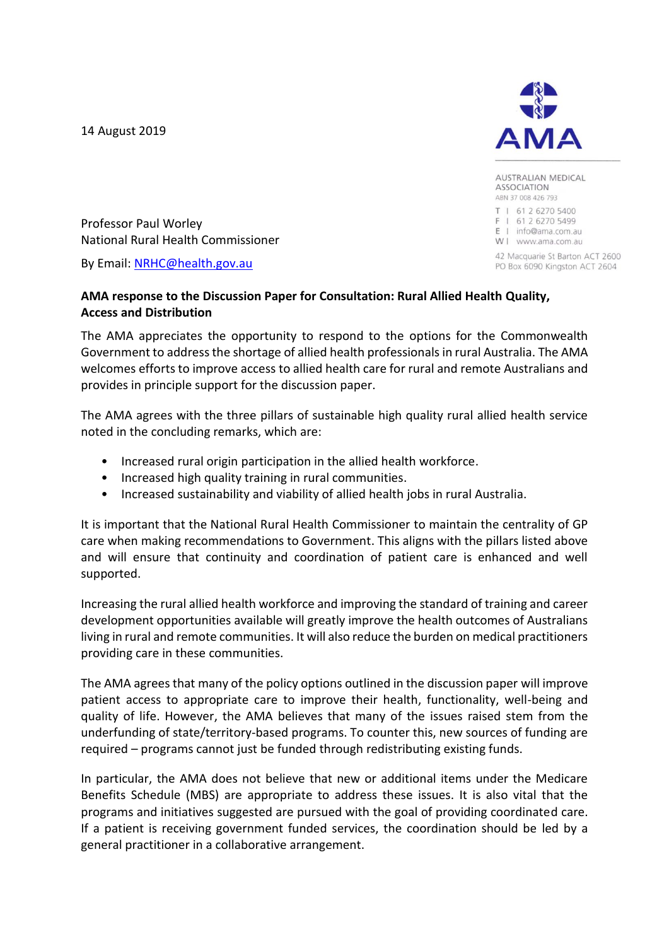14 August 2019



**AUSTRALIAN MEDICAL ASSOCIATION** ABN 37 008 426 793

T | 61 2 6270 5400 F | 61 2 6270 5499 E | info@ama.com.au W | www.ama.com.au

42 Macquarie St Barton ACT 2600 PO Box 6090 Kingston ACT 2604

Professor Paul Worley National Rural Health Commissioner

By Email: [NRHC@health.gov.au](mailto:nrhc@health.gov.au)

#### **AMA response to the Discussion Paper for Consultation: Rural Allied Health Quality, Access and Distribution**

The AMA appreciates the opportunity to respond to the options for the Commonwealth Government to address the shortage of allied health professionals in rural Australia. The AMA welcomes efforts to improve access to allied health care for rural and remote Australians and provides in principle support for the discussion paper.

The AMA agrees with the three pillars of sustainable high quality rural allied health service noted in the concluding remarks, which are:

- Increased rural origin participation in the allied health workforce.
- Increased high quality training in rural communities.
- Increased sustainability and viability of allied health jobs in rural Australia.

It is important that the National Rural Health Commissioner to maintain the centrality of GP care when making recommendations to Government. This aligns with the pillars listed above and will ensure that continuity and coordination of patient care is enhanced and well supported.

Increasing the rural allied health workforce and improving the standard of training and career development opportunities available will greatly improve the health outcomes of Australians living in rural and remote communities. It will also reduce the burden on medical practitioners providing care in these communities.

The AMA agrees that many of the policy options outlined in the discussion paper will improve patient access to appropriate care to improve their health, functionality, well-being and quality of life. However, the AMA believes that many of the issues raised stem from the underfunding of state/territory-based programs. To counter this, new sources of funding are required – programs cannot just be funded through redistributing existing funds.

In particular, the AMA does not believe that new or additional items under the Medicare Benefits Schedule (MBS) are appropriate to address these issues. It is also vital that the programs and initiatives suggested are pursued with the goal of providing coordinated care. If a patient is receiving government funded services, the coordination should be led by a general practitioner in a collaborative arrangement.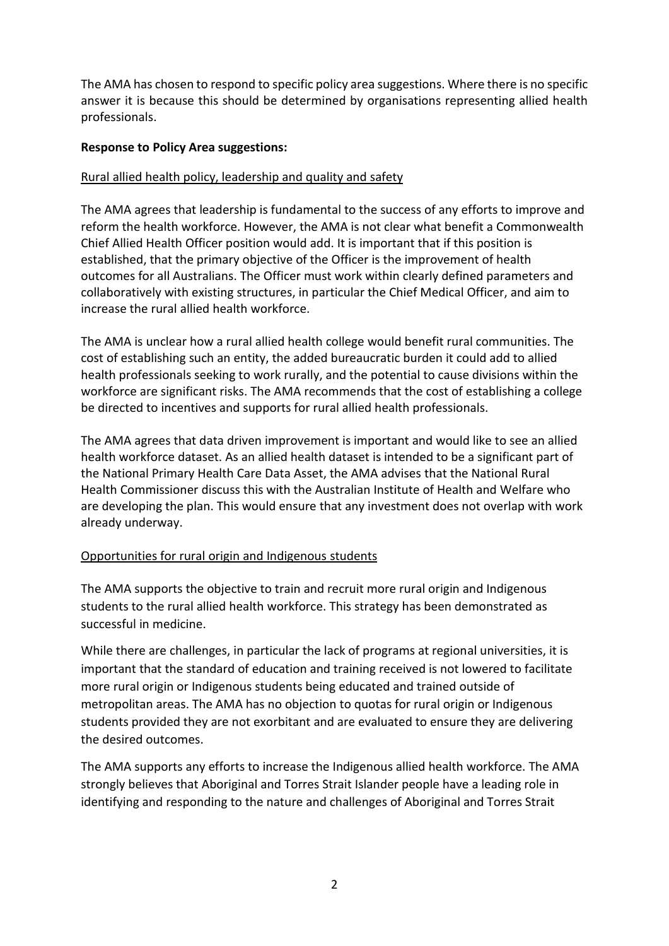The AMA has chosen to respond to specific policy area suggestions. Where there is no specific answer it is because this should be determined by organisations representing allied health professionals.

### **Response to Policy Area suggestions:**

## Rural allied health policy, leadership and quality and safety

The AMA agrees that leadership is fundamental to the success of any efforts to improve and reform the health workforce. However, the AMA is not clear what benefit a Commonwealth Chief Allied Health Officer position would add. It is important that if this position is established, that the primary objective of the Officer is the improvement of health outcomes for all Australians. The Officer must work within clearly defined parameters and collaboratively with existing structures, in particular the Chief Medical Officer, and aim to increase the rural allied health workforce.

The AMA is unclear how a rural allied health college would benefit rural communities. The cost of establishing such an entity, the added bureaucratic burden it could add to allied health professionals seeking to work rurally, and the potential to cause divisions within the workforce are significant risks. The AMA recommends that the cost of establishing a college be directed to incentives and supports for rural allied health professionals.

The AMA agrees that data driven improvement is important and would like to see an allied health workforce dataset. As an allied health dataset is intended to be a significant part of the National Primary Health Care Data Asset, the AMA advises that the National Rural Health Commissioner discuss this with the Australian Institute of Health and Welfare who are developing the plan. This would ensure that any investment does not overlap with work already underway.

### Opportunities for rural origin and Indigenous students

The AMA supports the objective to train and recruit more rural origin and Indigenous students to the rural allied health workforce. This strategy has been demonstrated as successful in medicine.

While there are challenges, in particular the lack of programs at regional universities, it is important that the standard of education and training received is not lowered to facilitate more rural origin or Indigenous students being educated and trained outside of metropolitan areas. The AMA has no objection to quotas for rural origin or Indigenous students provided they are not exorbitant and are evaluated to ensure they are delivering the desired outcomes.

The AMA supports any efforts to increase the Indigenous allied health workforce. The AMA strongly believes that Aboriginal and Torres Strait Islander people have a leading role in identifying and responding to the nature and challenges of Aboriginal and Torres Strait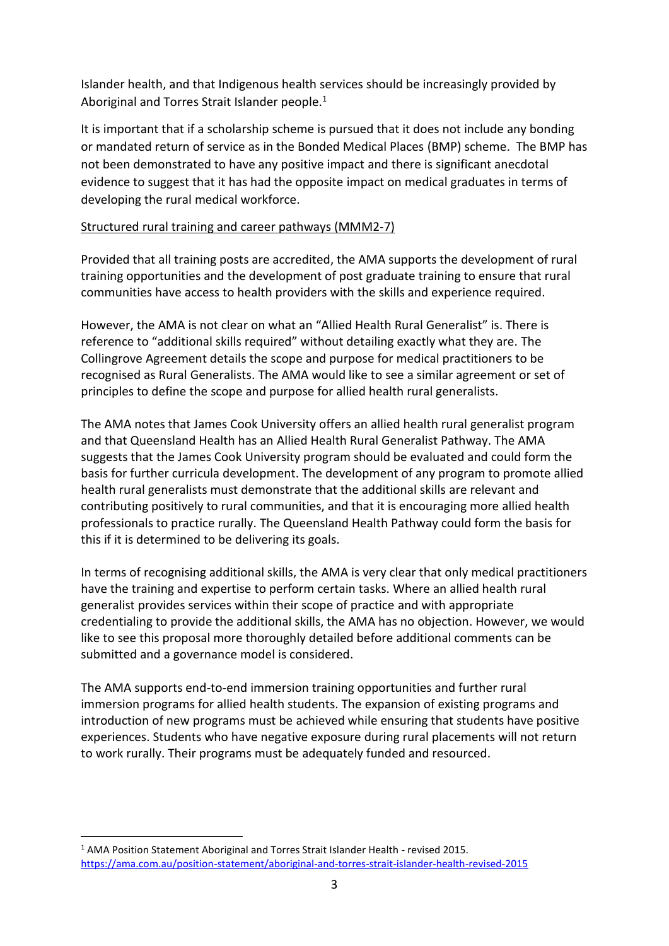Islander health, and that Indigenous health services should be increasingly provided by Aboriginal and Torres Strait Islander people.<sup>1</sup>

It is important that if a scholarship scheme is pursued that it does not include any bonding or mandated return of service as in the Bonded Medical Places (BMP) scheme. The BMP has not been demonstrated to have any positive impact and there is significant anecdotal evidence to suggest that it has had the opposite impact on medical graduates in terms of developing the rural medical workforce.

### Structured rural training and career pathways (MMM2-7)

Provided that all training posts are accredited, the AMA supports the development of rural training opportunities and the development of post graduate training to ensure that rural communities have access to health providers with the skills and experience required.

However, the AMA is not clear on what an "Allied Health Rural Generalist" is. There is reference to "additional skills required" without detailing exactly what they are. The Collingrove Agreement details the scope and purpose for medical practitioners to be recognised as Rural Generalists. The AMA would like to see a similar agreement or set of principles to define the scope and purpose for allied health rural generalists.

The AMA notes that James Cook University offers an allied health rural generalist program and that Queensland Health has an Allied Health Rural Generalist Pathway. The AMA suggests that the James Cook University program should be evaluated and could form the basis for further curricula development. The development of any program to promote allied health rural generalists must demonstrate that the additional skills are relevant and contributing positively to rural communities, and that it is encouraging more allied health professionals to practice rurally. The Queensland Health Pathway could form the basis for this if it is determined to be delivering its goals.

In terms of recognising additional skills, the AMA is very clear that only medical practitioners have the training and expertise to perform certain tasks. Where an allied health rural generalist provides services within their scope of practice and with appropriate credentialing to provide the additional skills, the AMA has no objection. However, we would like to see this proposal more thoroughly detailed before additional comments can be submitted and a governance model is considered.

The AMA supports end-to-end immersion training opportunities and further rural immersion programs for allied health students. The expansion of existing programs and introduction of new programs must be achieved while ensuring that students have positive experiences. Students who have negative exposure during rural placements will not return to work rurally. Their programs must be adequately funded and resourced.

<sup>&</sup>lt;sup>1</sup> AMA Position Statement Aboriginal and Torres Strait Islander Health - revised 2015. <https://ama.com.au/position-statement/aboriginal-and-torres-strait-islander-health-revised-2015>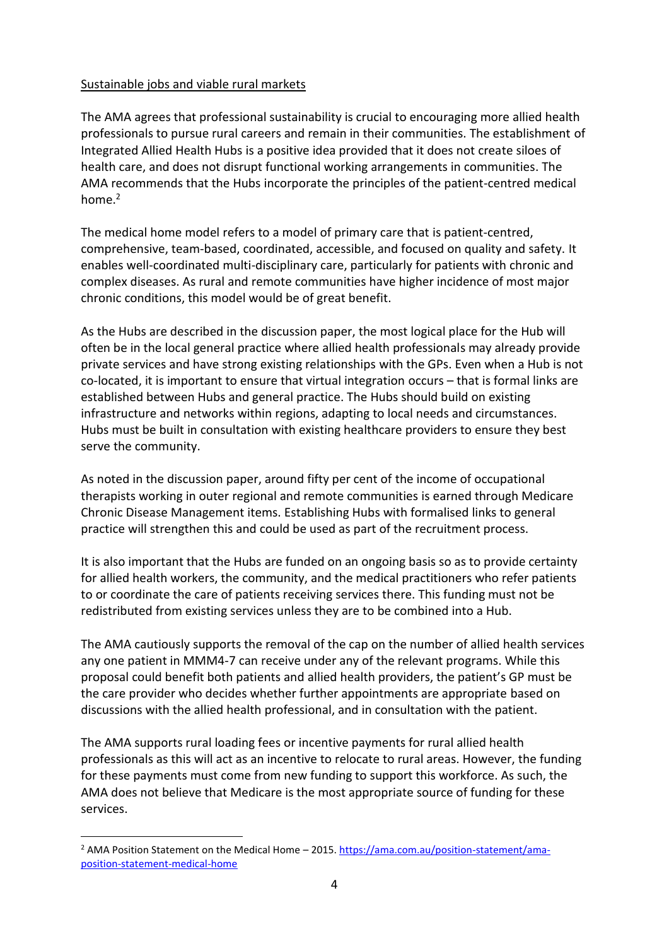### Sustainable jobs and viable rural markets

The AMA agrees that professional sustainability is crucial to encouraging more allied health professionals to pursue rural careers and remain in their communities. The establishment of Integrated Allied Health Hubs is a positive idea provided that it does not create siloes of health care, and does not disrupt functional working arrangements in communities. The AMA recommends that the Hubs incorporate the principles of the patient-centred medical home.<sup>2</sup>

The medical home model refers to a model of primary care that is patient-centred, comprehensive, team-based, coordinated, accessible, and focused on quality and safety. It enables well-coordinated multi-disciplinary care, particularly for patients with chronic and complex diseases. As rural and remote communities have higher incidence of most major chronic conditions, this model would be of great benefit.

As the Hubs are described in the discussion paper, the most logical place for the Hub will often be in the local general practice where allied health professionals may already provide private services and have strong existing relationships with the GPs. Even when a Hub is not co-located, it is important to ensure that virtual integration occurs – that is formal links are established between Hubs and general practice. The Hubs should build on existing infrastructure and networks within regions, adapting to local needs and circumstances. Hubs must be built in consultation with existing healthcare providers to ensure they best serve the community.

As noted in the discussion paper, around fifty per cent of the income of occupational therapists working in outer regional and remote communities is earned through Medicare Chronic Disease Management items. Establishing Hubs with formalised links to general practice will strengthen this and could be used as part of the recruitment process.

It is also important that the Hubs are funded on an ongoing basis so as to provide certainty for allied health workers, the community, and the medical practitioners who refer patients to or coordinate the care of patients receiving services there. This funding must not be redistributed from existing services unless they are to be combined into a Hub.

The AMA cautiously supports the removal of the cap on the number of allied health services any one patient in MMM4-7 can receive under any of the relevant programs. While this proposal could benefit both patients and allied health providers, the patient's GP must be the care provider who decides whether further appointments are appropriate based on discussions with the allied health professional, and in consultation with the patient.

The AMA supports rural loading fees or incentive payments for rural allied health professionals as this will act as an incentive to relocate to rural areas. However, the funding for these payments must come from new funding to support this workforce. As such, the AMA does not believe that Medicare is the most appropriate source of funding for these services.

<sup>&</sup>lt;sup>2</sup> AMA Position Statement on the Medical Home – 2015. [https://ama.com.au/position-statement/ama](https://ama.com.au/position-statement/ama-position-statement-medical-home)[position-statement-medical-home](https://ama.com.au/position-statement/ama-position-statement-medical-home)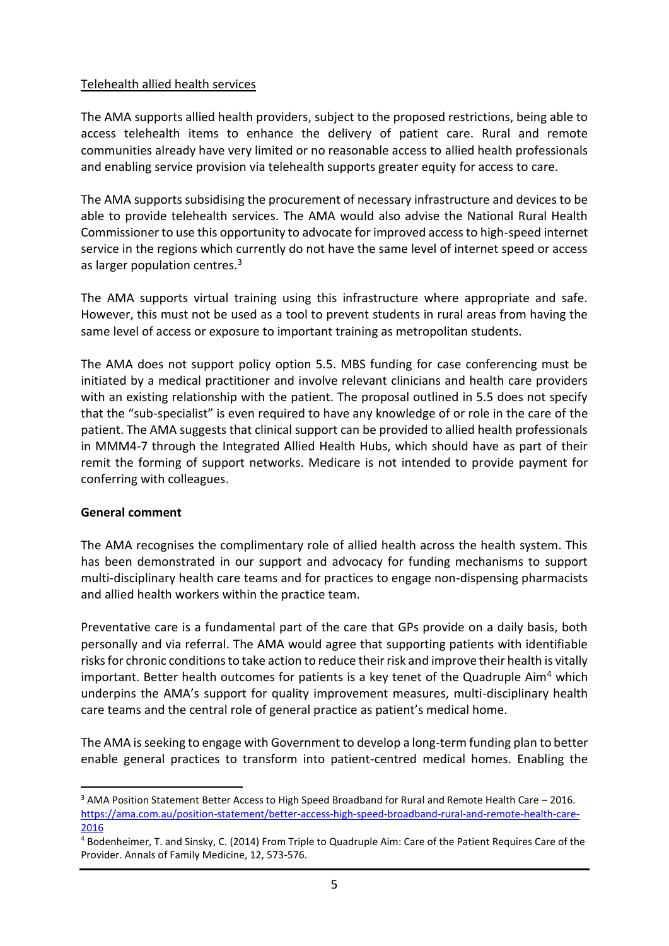# Telehealth allied health services

The AMA supports allied health providers, subject to the proposed restrictions, being able to access telehealth items to enhance the delivery of patient care. Rural and remote communities already have very limited or no reasonable access to allied health professionals and enabling service provision via telehealth supports greater equity for access to care.

The AMA supports subsidising the procurement of necessary infrastructure and devices to be able to provide telehealth services. The AMA would also advise the National Rural Health Commissioner to use this opportunity to advocate for improved access to high-speed internet service in the regions which currently do not have the same level of internet speed or access as larger population centres.<sup>3</sup>

The AMA supports virtual training using this infrastructure where appropriate and safe. However, this must not be used as a tool to prevent students in rural areas from having the same level of access or exposure to important training as metropolitan students.

The AMA does not support policy option 5.5. MBS funding for case conferencing must be initiated by a medical practitioner and involve relevant clinicians and health care providers with an existing relationship with the patient. The proposal outlined in 5.5 does not specify that the "sub-specialist" is even required to have any knowledge of or role in the care of the patient. The AMA suggests that clinical support can be provided to allied health professionals in MMM4-7 through the Integrated Allied Health Hubs, which should have as part of their remit the forming of support networks. Medicare is not intended to provide payment for conferring with colleagues.

### **General comment**

The AMA recognises the complimentary role of allied health across the health system. This has been demonstrated in our support and advocacy for funding mechanisms to support multi-disciplinary health care teams and for practices to engage non-dispensing pharmacists and allied health workers within the practice team.

Preventative care is a fundamental part of the care that GPs provide on a daily basis, both personally and via referral. The AMA would agree that supporting patients with identifiable risks for chronic conditions to take action to reduce their risk and improve their health is vitally important. Better health outcomes for patients is a key tenet of the Quadruple Aim<sup>4</sup> which underpins the AMA's support for quality improvement measures, multi-disciplinary health care teams and the central role of general practice as patient's medical home.

The AMA is seeking to engage with Government to develop a long-term funding plan to better enable general practices to transform into patient-centred medical homes. Enabling the

<sup>3</sup> AMA Position Statement Better Access to High Speed Broadband for Rural and Remote Health Care – 2016. [https://ama.com.au/position-statement/better-access-high-speed-broadband-rural-and-remote-health-care-](https://ama.com.au/position-statement/better-access-high-speed-broadband-rural-and-remote-health-care-2016)[2016](https://ama.com.au/position-statement/better-access-high-speed-broadband-rural-and-remote-health-care-2016)

<sup>4</sup> Bodenheimer, T. and Sinsky, C. (2014) From Triple to Quadruple Aim: Care of the Patient Requires Care of the Provider. Annals of Family Medicine, 12, 573-576.